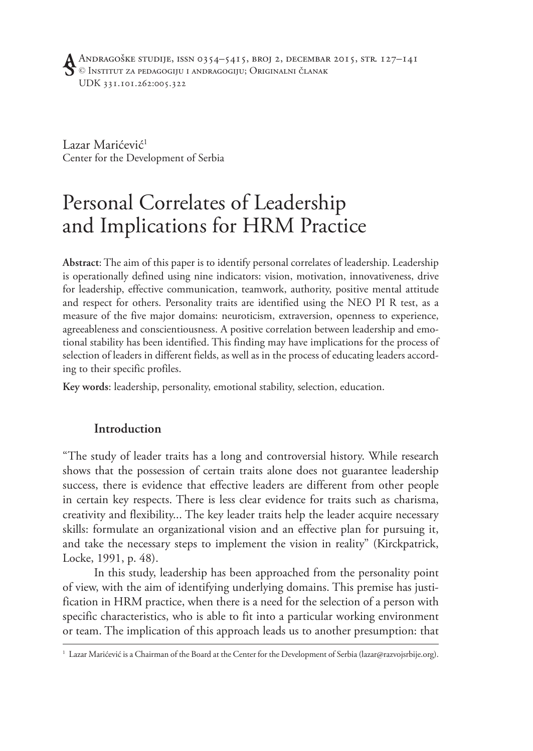Lazar Marićević<sup>1</sup> Center for the Development of Serbia

# Personal Correlates of Leadership and Implications for HRM Practice

**Abstract**: The aim of this paper is to identify personal correlates of leadership. Leadership is operationally defined using nine indicators: vision, motivation, innovativeness, drive for leadership, effective communication, teamwork, authority, positive mental attitude and respect for others. Personality traits are identified using the NEO PI R test, as a measure of the five major domains: neuroticism, extraversion, openness to experience, agreeableness and conscientiousness. A positive correlation between leadership and emotional stability has been identified. This finding may have implications for the process of selection of leaders in different fields, as well as in the process of educating leaders according to their specific profiles.

**Key words**: leadership, personality, emotional stability, selection, education.

#### **Introduction**

"The study of leader traits has a long and controversial history. While research shows that the possession of certain traits alone does not guarantee leadership success, there is evidence that effective leaders are different from other people in certain key respects. There is less clear evidence for traits such as charisma, creativity and flexibility... The key leader traits help the leader acquire necessary skills: formulate an organizational vision and an effective plan for pursuing it, and take the necessary steps to implement the vision in reality" (Kirckpatrick, Locke, 1991, p. 48).

In this study, leadership has been approached from the personality point of view, with the aim of identifying underlying domains. This premise has justification in HRM practice, when there is a need for the selection of a person with specific characteristics, who is able to fit into a particular working environment or team. The implication of this approach leads us to another presumption: that

<sup>1</sup> Lazar Marićević is a Chairman of the Board at the Center for the Development of Serbia (lazar@razvojsrbije.org).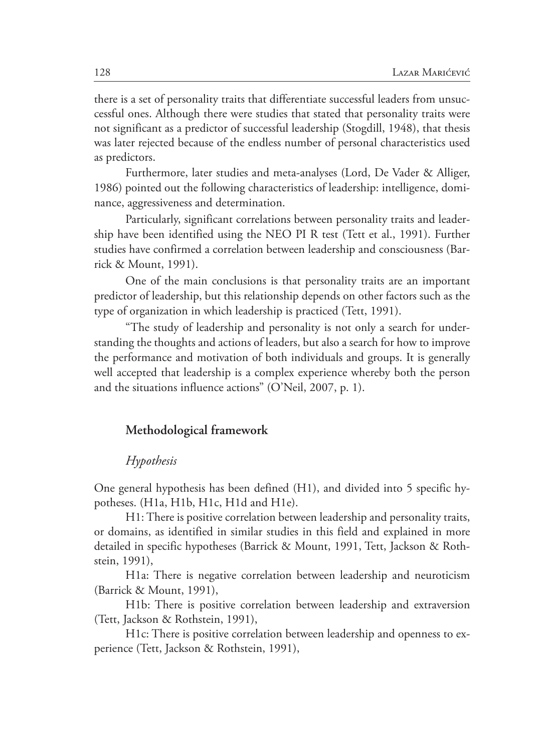there is a set of personality traits that differentiate successful leaders from unsuccessful ones. Although there were studies that stated that personality traits were not significant as a predictor of successful leadership (Stogdill, 1948), that thesis was later rejected because of the endless number of personal characteristics used as predictors.

Furthermore, later studies and meta-analyses (Lord, De Vader & Alliger, 1986) pointed out the following characteristics of leadership: intelligence, dominance, aggressiveness and determination.

Particularly, significant correlations between personality traits and leadership have been identified using the NEO PI R test (Tett et al., 1991). Further studies have confirmed a correlation between leadership and consciousness (Barrick & Mount, 1991).

One of the main conclusions is that personality traits are an important predictor of leadership, but this relationship depends on other factors such as the type of organization in which leadership is practiced (Tett, 1991).

"The study of leadership and personality is not only a search for understanding the thoughts and actions of leaders, but also a search for how to improve the performance and motivation of both individuals and groups. It is generally well accepted that leadership is a complex experience whereby both the person and the situations influence actions" (O'Neil, 2007, p. 1).

#### **Methodological framework**

#### *Hypothesis*

One general hypothesis has been defined (H1), and divided into 5 specific hypotheses. (H1a, H1b, H1c, H1d and H1e).

H1: There is positive correlation between leadership and personality traits, or domains, as identified in similar studies in this field and explained in more detailed in specific hypotheses (Barrick & Mount, 1991, Tett, Jackson & Rothstein, 1991),

H1a: There is negative correlation between leadership and neuroticism (Barrick & Mount, 1991),

H1b: There is positive correlation between leadership and extraversion (Tett, Jackson & Rothstein, 1991),

H1c: There is positive correlation between leadership and openness to experience (Tett, Jackson & Rothstein, 1991),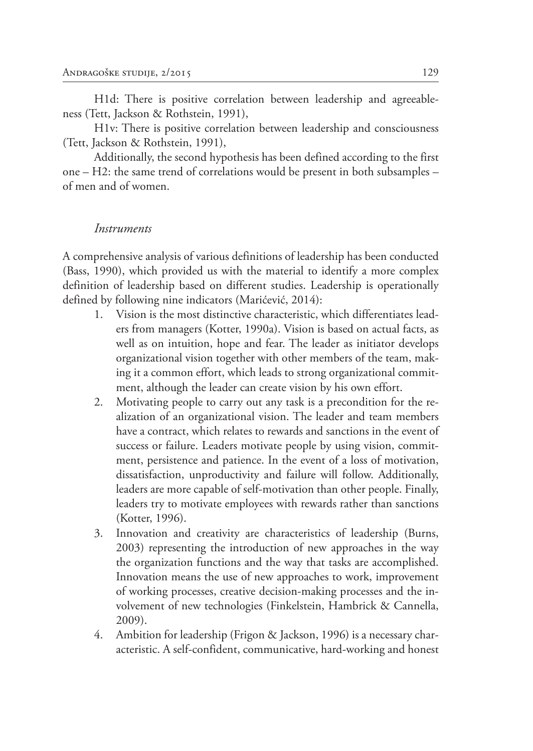H1d: There is positive correlation between leadership and agreeableness (Tett, Jackson & Rothstein, 1991),

H1v: There is positive correlation between leadership and consciousness (Tett, Jackson & Rothstein, 1991),

Additionally, the second hypothesis has been defined according to the first one – H2: the same trend of correlations would be present in both subsamples – of men and of women.

#### *Instruments*

A comprehensive analysis of various definitions of leadership has been conducted (Bass, 1990), which provided us with the material to identify a more complex definition of leadership based on different studies. Leadership is operationally defined by following nine indicators (Marićević, 2014):

- 1. Vision is the most distinctive characteristic, which differentiates leaders from managers (Kotter, 1990a). Vision is based on actual facts, as well as on intuition, hope and fear. The leader as initiator develops organizational vision together with other members of the team, making it a common effort, which leads to strong organizational commitment, although the leader can create vision by his own effort.
- 2. Motivating people to carry out any task is a precondition for the realization of an organizational vision. The leader and team members have a contract, which relates to rewards and sanctions in the event of success or failure. Leaders motivate people by using vision, commitment, persistence and patience. In the event of a loss of motivation, dissatisfaction, unproductivity and failure will follow. Additionally, leaders are more capable of self-motivation than other people. Finally, leaders try to motivate employees with rewards rather than sanctions (Kotter, 1996).
- 3. Innovation and creativity are characteristics of leadership (Burns, 2003) representing the introduction of new approaches in the way the organization functions and the way that tasks are accomplished. Innovation means the use of new approaches to work, improvement of working processes, creative decision-making processes and the involvement of new technologies (Finkelstein, Hambrick & Cannella, 2009).
- 4. Ambition for leadership (Frigon & Jackson, 1996) is a necessary characteristic. A self-confident, communicative, hard-working and honest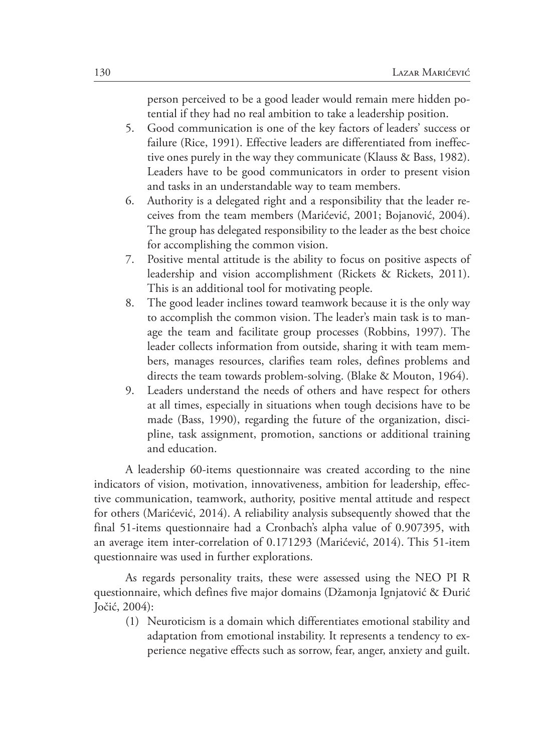person perceived to be a good leader would remain mere hidden potential if they had no real ambition to take a leadership position.

- 5. Good communication is one of the key factors of leaders' success or failure (Rice, 1991). Effective leaders are differentiated from ineffective ones purely in the way they communicate (Klauss & Bass, 1982). Leaders have to be good communicators in order to present vision and tasks in an understandable way to team members.
- 6. Authority is a delegated right and a responsibility that the leader receives from the team members (Marićević, 2001; Bojanović, 2004). The group has delegated responsibility to the leader as the best choice for accomplishing the common vision.
- 7. Positive mental attitude is the ability to focus on positive aspects of leadership and vision accomplishment (Rickets & Rickets, 2011). This is an additional tool for motivating people.
- 8. The good leader inclines toward teamwork because it is the only way to accomplish the common vision. The leader's main task is to manage the team and facilitate group processes (Robbins, 1997). The leader collects information from outside, sharing it with team members, manages resources, clarifies team roles, defines problems and directs the team towards problem-solving. (Blake & Mouton, 1964).
- 9. Leaders understand the needs of others and have respect for others at all times, especially in situations when tough decisions have to be made (Bass, 1990), regarding the future of the organization, discipline, task assignment, promotion, sanctions or additional training and education.

A leadership 60-items questionnaire was created according to the nine indicators of vision, motivation, innovativeness, ambition for leadership, effective communication, teamwork, authority, positive mental attitude and respect for others (Marićević, 2014). A reliability analysis subsequently showed that the final 51-items questionnaire had a Cronbach's alpha value of 0.907395, with an average item inter-correlation of 0.171293 (Marićević, 2014). This 51-item questionnaire was used in further explorations.

As regards personality traits, these were assessed using the NEO PI R questionnaire, which defines five major domains (Džamonja Ignjatović & Đurić Jočić, 2004):

(1) Neuroticism is a domain which differentiates emotional stability and adaptation from emotional instability. It represents a tendency to experience negative effects such as sorrow, fear, anger, anxiety and guilt.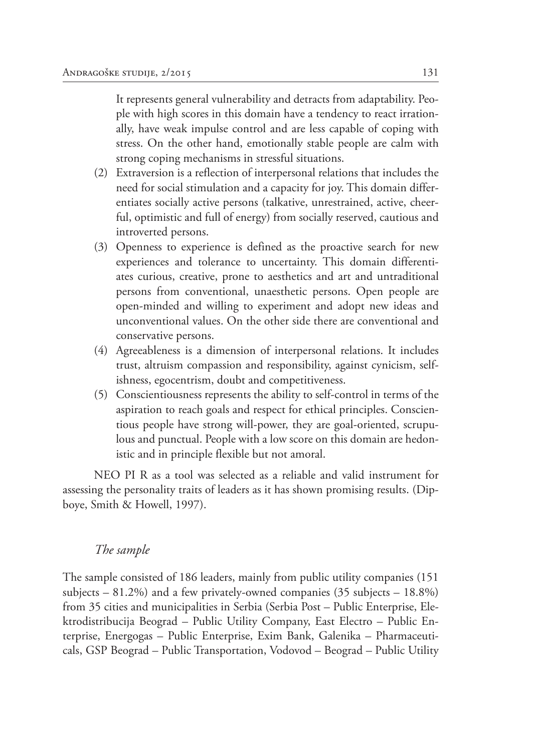It represents general vulnerability and detracts from adaptability. People with high scores in this domain have a tendency to react irrationally, have weak impulse control and are less capable of coping with stress. On the other hand, emotionally stable people are calm with strong coping mechanisms in stressful situations.

- (2) Extraversion is a reflection of interpersonal relations that includes the need for social stimulation and a capacity for joy. This domain differentiates socially active persons (talkative, unrestrained, active, cheerful, optimistic and full of energy) from socially reserved, cautious and introverted persons.
- (3) Openness to experience is defined as the proactive search for new experiences and tolerance to uncertainty. This domain differentiates curious, creative, prone to aesthetics and art and untraditional persons from conventional, unaesthetic persons. Open people are open-minded and willing to experiment and adopt new ideas and unconventional values. On the other side there are conventional and conservative persons.
- (4) Agreeableness is a dimension of interpersonal relations. It includes trust, altruism compassion and responsibility, against cynicism, selfishness, egocentrism, doubt and competitiveness.
- (5) Conscientiousness represents the ability to self-control in terms of the aspiration to reach goals and respect for ethical principles. Conscientious people have strong will-power, they are goal-oriented, scrupulous and punctual. People with a low score on this domain are hedonistic and in principle flexible but not amoral.

NEO PI R as a tool was selected as a reliable and valid instrument for assessing the personality traits of leaders as it has shown promising results. (Dipboye, Smith & Howell, 1997).

#### *The sample*

The sample consisted of 186 leaders, mainly from public utility companies (151 subjects  $-81.2\%$ ) and a few privately-owned companies (35 subjects  $-18.8\%$ ) from 35 cities and municipalities in Serbia (Serbia Post – Public Enterprise, Elektrodistribucija Beograd – Public Utility Company, East Electro – Public Enterprise, Energogas – Public Enterprise, Exim Bank, Galenika – Pharmaceuticals, GSP Beograd – Public Transportation, Vodovod – Beograd – Public Utility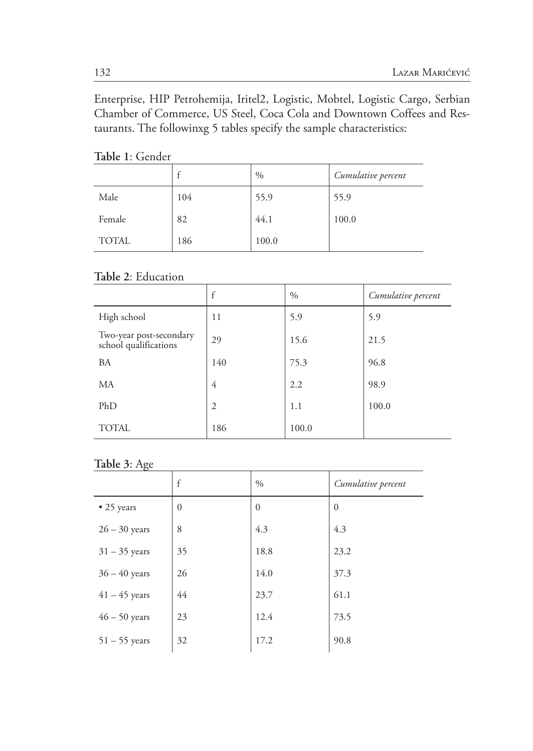Enterprise, HIP Petrohemija, Iritel2, Logistic, Mobtel, Logistic Cargo, Serbian Chamber of Commerce, US Steel, Coca Cola and Downtown Coffees and Restaurants. The followinxg 5 tables specify the sample characteristics:

|              |     | $\%$  | Cumulative percent |
|--------------|-----|-------|--------------------|
| Male         | 104 | 55.9  | 55.9               |
| Female       | 82  | 44.1  | 100.0              |
| <b>TOTAL</b> | 186 | 100.0 |                    |

### **Table 1**: Gender

#### **Table 2**: Education

|                                                  | f              | $\%$  | Cumulative percent |
|--------------------------------------------------|----------------|-------|--------------------|
| High school                                      | 11             | 5.9   | 5.9                |
| Two-year post-secondary<br>school qualifications | 29             | 15.6  | 21.5               |
| <b>BA</b>                                        | 140            | 75.3  | 96.8               |
| MA                                               | 4              | 2.2   | 98.9               |
| PhD                                              | $\overline{2}$ | 1.1   | 100.0              |
| <b>TOTAL</b>                                     | 186            | 100.0 |                    |

#### **Table 3**: Age

|                 | f            | $\%$     | Cumulative percent |
|-----------------|--------------|----------|--------------------|
| • 25 years      | $\mathbf{0}$ | $\theta$ | $\Omega$           |
| $26 - 30$ years | 8            | 4.3      | 4.3                |
| $31 - 35$ years | 35           | 18.8     | 23.2               |
| $36 - 40$ years | 26           | 14.0     | 37.3               |
| $41 - 45$ years | 44           | 23.7     | 61.1               |
| $46 - 50$ years | 23           | 12.4     | 73.5               |
| $51 - 55$ years | 32           | 17.2     | 90.8               |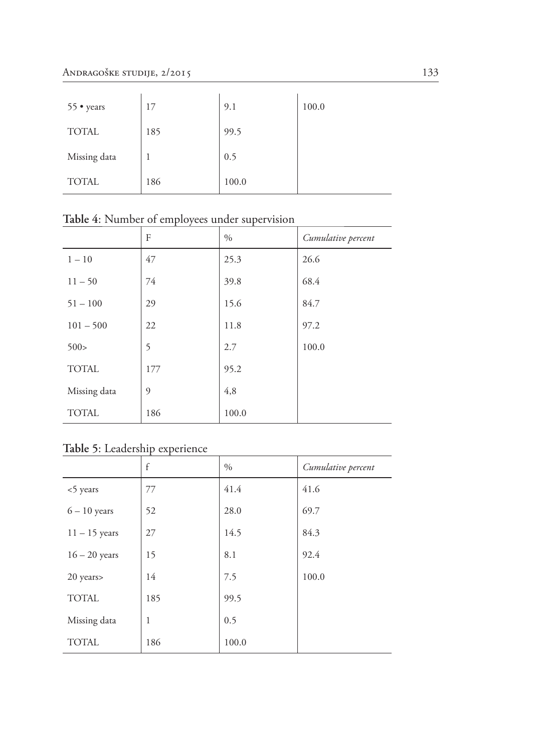| 55 • years   | 17  | 9.1   | 100.0 |
|--------------|-----|-------|-------|
| <b>TOTAL</b> | 185 | 99.5  |       |
| Missing data |     | 0.5   |       |
| <b>TOTAL</b> | 186 | 100.0 |       |

|              | F   | $\%$  | Cumulative percent |
|--------------|-----|-------|--------------------|
| $1 - 10$     | 47  | 25.3  | 26.6               |
| $11 - 50$    | 74  | 39.8  | 68.4               |
| $51 - 100$   | 29  | 15.6  | 84.7               |
| $101 - 500$  | 22  | 11.8  | 97.2               |
| 500 >        | 5   | 2.7   | 100.0              |
| <b>TOTAL</b> | 177 | 95.2  |                    |
| Missing data | 9   | 4,8   |                    |
| <b>TOTAL</b> | 186 | 100.0 |                    |

**Table 4**: Number of employees under supervision

## **Table 5**: Leadership experience

|                 | $\mathsf{f}$ | $\%$  | Cumulative percent |
|-----------------|--------------|-------|--------------------|
| <5 years        | 77           | 41.4  | 41.6               |
| $6 - 10$ years  | 52           | 28.0  | 69.7               |
| $11 - 15$ years | 27           | 14.5  | 84.3               |
| $16 - 20$ years | 15           | 8.1   | 92.4               |
| 20 years        | 14           | 7.5   | 100.0              |
| <b>TOTAL</b>    | 185          | 99.5  |                    |
| Missing data    | 1            | 0.5   |                    |
| <b>TOTAL</b>    | 186          | 100.0 |                    |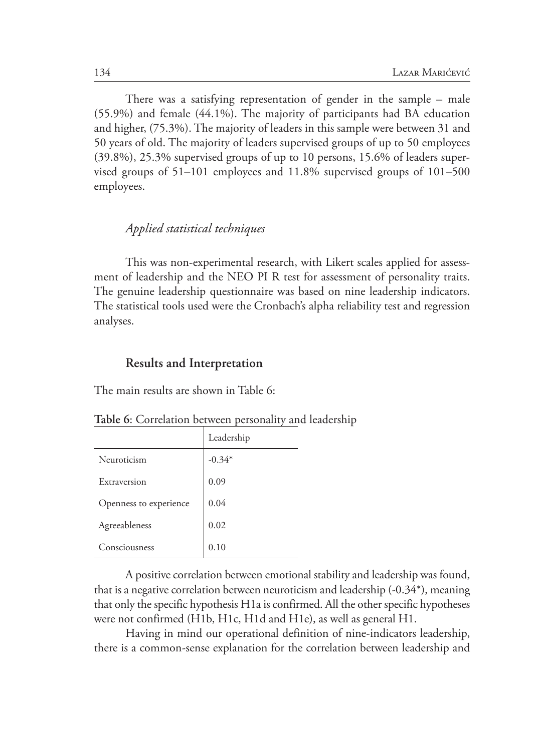There was a satisfying representation of gender in the sample – male (55.9%) and female (44.1%). The majority of participants had BA education and higher, (75.3%). The majority of leaders in this sample were between 31 and 50 years of old. The majority of leaders supervised groups of up to 50 employees (39.8%), 25.3% supervised groups of up to 10 persons, 15.6% of leaders supervised groups of 51–101 employees and 11.8% supervised groups of 101–500 employees.

### *Applied statistical techniques*

This was non-experimental research, with Likert scales applied for assessment of leadership and the NEO PI R test for assessment of personality traits. The genuine leadership questionnaire was based on nine leadership indicators. The statistical tools used were the Cronbach's alpha reliability test and regression analyses.

#### **Results and Interpretation**

The main results are shown in Table 6:

|                        | Leadership |
|------------------------|------------|
| Neuroticism            | $-0.34*$   |
| Extraversion           | 0.09       |
| Openness to experience | 0.04       |
| Agreeableness          | 0.02       |
| Consciousness          | 0.10       |

**Table 6**: Correlation between personality and leadership

A positive correlation between emotional stability and leadership was found, that is a negative correlation between neuroticism and leadership (-0.34\*), meaning that only the specific hypothesis H1a is confirmed. All the other specific hypotheses were not confirmed (H1b, H1c, H1d and H1e), as well as general H1.

Having in mind our operational definition of nine-indicators leadership, there is a common-sense explanation for the correlation between leadership and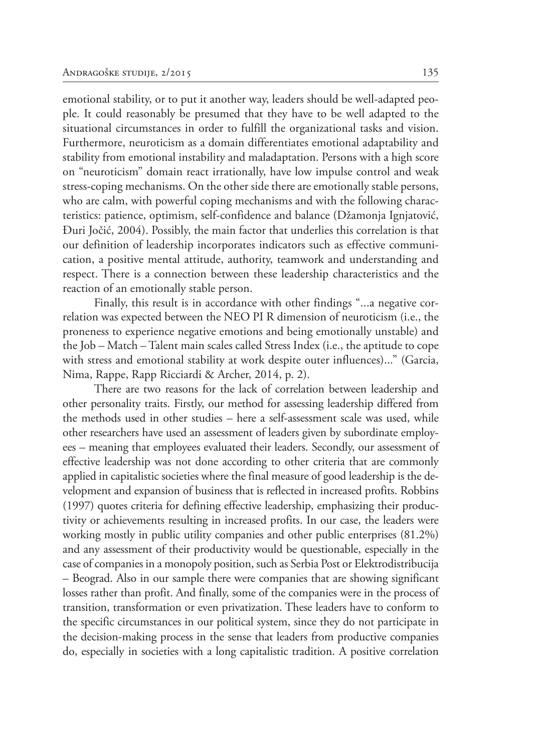emotional stability, or to put it another way, leaders should be well-adapted people. It could reasonably be presumed that they have to be well adapted to the situational circumstances in order to fulfill the organizational tasks and vision. Furthermore, neuroticism as a domain differentiates emotional adaptability and stability from emotional instability and maladaptation. Persons with a high score on "neuroticism" domain react irrationally, have low impulse control and weak stress-coping mechanisms. On the other side there are emotionally stable persons, who are calm, with powerful coping mechanisms and with the following characteristics: patience, optimism, self-confidence and balance (Džamonja Ignjatović, Đuri Jočić, 2004). Possibly, the main factor that underlies this correlation is that our definition of leadership incorporates indicators such as effective communication, a positive mental attitude, authority, teamwork and understanding and respect. There is a connection between these leadership characteristics and the reaction of an emotionally stable person.

Finally, this result is in accordance with other findings "...a negative correlation was expected between the NEO PI R dimension of neuroticism (i.e., the proneness to experience negative emotions and being emotionally unstable) and the Job – Match – Talent main scales called Stress Index (i.e., the aptitude to cope with stress and emotional stability at work despite outer influences)..." (Garcia, Nima, Rappe, Rapp Ricciardi & Archer, 2014, p. 2).

There are two reasons for the lack of correlation between leadership and other personality traits. Firstly, our method for assessing leadership differed from the methods used in other studies – here a self-assessment scale was used, while other researchers have used an assessment of leaders given by subordinate employees – meaning that employees evaluated their leaders. Secondly, our assessment of effective leadership was not done according to other criteria that are commonly applied in capitalistic societies where the final measure of good leadership is the development and expansion of business that is reflected in increased profits. Robbins (1997) quotes criteria for defining effective leadership, emphasizing their productivity or achievements resulting in increased profits. In our case, the leaders were working mostly in public utility companies and other public enterprises (81.2%) and any assessment of their productivity would be questionable, especially in the case of companies in a monopoly position, such as Serbia Post or Elektrodistribucija – Beograd. Also in our sample there were companies that are showing significant losses rather than profit. And finally, some of the companies were in the process of transition, transformation or even privatization. These leaders have to conform to the specific circumstances in our political system, since they do not participate in the decision-making process in the sense that leaders from productive companies do, especially in societies with a long capitalistic tradition. A positive correlation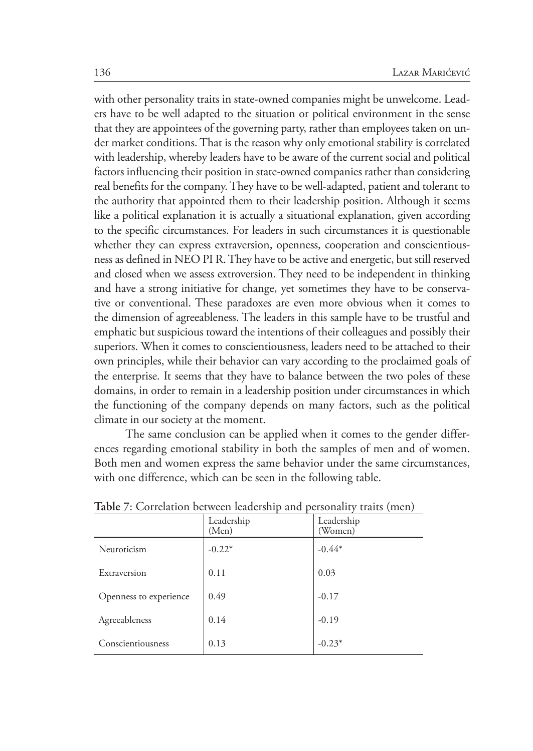with other personality traits in state-owned companies might be unwelcome. Leaders have to be well adapted to the situation or political environment in the sense that they are appointees of the governing party, rather than employees taken on under market conditions. That is the reason why only emotional stability is correlated with leadership, whereby leaders have to be aware of the current social and political factors influencing their position in state-owned companies rather than considering real benefits for the company. They have to be well-adapted, patient and tolerant to the authority that appointed them to their leadership position. Although it seems like a political explanation it is actually a situational explanation, given according to the specific circumstances. For leaders in such circumstances it is questionable whether they can express extraversion, openness, cooperation and conscientiousness as defined in NEO PI R. They have to be active and energetic, but still reserved and closed when we assess extroversion. They need to be independent in thinking and have a strong initiative for change, yet sometimes they have to be conservative or conventional. These paradoxes are even more obvious when it comes to the dimension of agreeableness. The leaders in this sample have to be trustful and emphatic but suspicious toward the intentions of their colleagues and possibly their superiors. When it comes to conscientiousness, leaders need to be attached to their own principles, while their behavior can vary according to the proclaimed goals of the enterprise. It seems that they have to balance between the two poles of these domains, in order to remain in a leadership position under circumstances in which the functioning of the company depends on many factors, such as the political climate in our society at the moment.

The same conclusion can be applied when it comes to the gender differences regarding emotional stability in both the samples of men and of women. Both men and women express the same behavior under the same circumstances, with one difference, which can be seen in the following table.

| 1801, The Southern Deciment Indianapolish Mile<br>$P$ expositions,<br>$\frac{1}{2}$ |                     |                       |  |
|-------------------------------------------------------------------------------------|---------------------|-----------------------|--|
|                                                                                     | Leadership<br>(Men) | Leadership<br>(Women) |  |
| Neuroticism                                                                         | $-0.22*$            | $-0.44*$              |  |
| Extraversion                                                                        | 0.11                | 0.03                  |  |
| Openness to experience                                                              | 0.49                | $-0.17$               |  |
| Agreeableness                                                                       | 0.14                | $-0.19$               |  |
| Conscientiousness                                                                   | 0.13                | $-0.23*$              |  |

**Table 7**: Correlation between leadership and personality traits (men)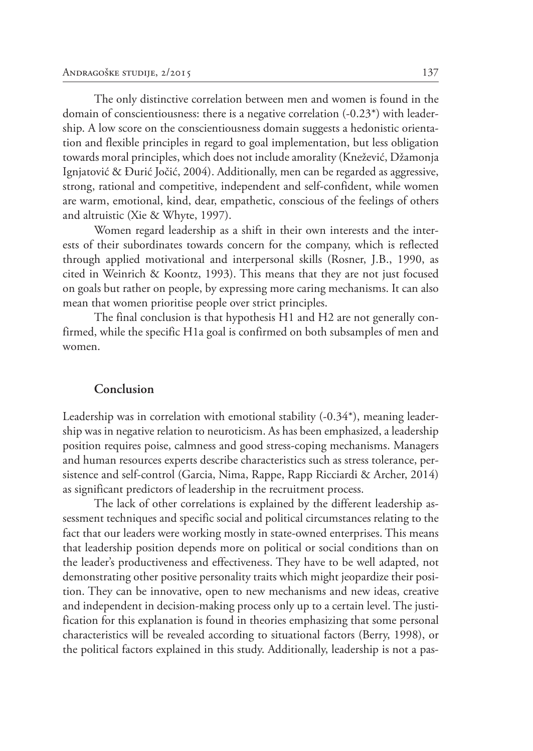The only distinctive correlation between men and women is found in the domain of conscientiousness: there is a negative correlation (-0.23\*) with leadership. A low score on the conscientiousness domain suggests a hedonistic orientation and flexible principles in regard to goal implementation, but less obligation towards moral principles, which does not include amorality (Knežević, Džamonja Ignjatović & Đurić Jočić, 2004). Additionally, men can be regarded as aggressive, strong, rational and competitive, independent and self-confident, while women are warm, emotional, kind, dear, empathetic, conscious of the feelings of others and altruistic (Xie & Whyte, 1997).

Women regard leadership as a shift in their own interests and the interests of their subordinates towards concern for the company, which is reflected through applied motivational and interpersonal skills (Rosner, J.B., 1990, as cited in Weinrich & Koontz, 1993). This means that they are not just focused on goals but rather on people, by expressing more caring mechanisms. It can also mean that women prioritise people over strict principles.

The final conclusion is that hypothesis H1 and H2 are not generally confirmed, while the specific H1a goal is confirmed on both subsamples of men and women.

#### **Conclusion**

Leadership was in correlation with emotional stability (-0.34\*), meaning leadership was in negative relation to neuroticism. As has been emphasized, a leadership position requires poise, calmness and good stress-coping mechanisms. Managers and human resources experts describe characteristics such as stress tolerance, persistence and self-control (Garcia, Nima, Rappe, Rapp Ricciardi & Archer, 2014) as significant predictors of leadership in the recruitment process.

The lack of other correlations is explained by the different leadership assessment techniques and specific social and political circumstances relating to the fact that our leaders were working mostly in state-owned enterprises. This means that leadership position depends more on political or social conditions than on the leader's productiveness and effectiveness. They have to be well adapted, not demonstrating other positive personality traits which might jeopardize their position. They can be innovative, open to new mechanisms and new ideas, creative and independent in decision-making process only up to a certain level. The justification for this explanation is found in theories emphasizing that some personal characteristics will be revealed according to situational factors (Berry, 1998), or the political factors explained in this study. Additionally, leadership is not a pas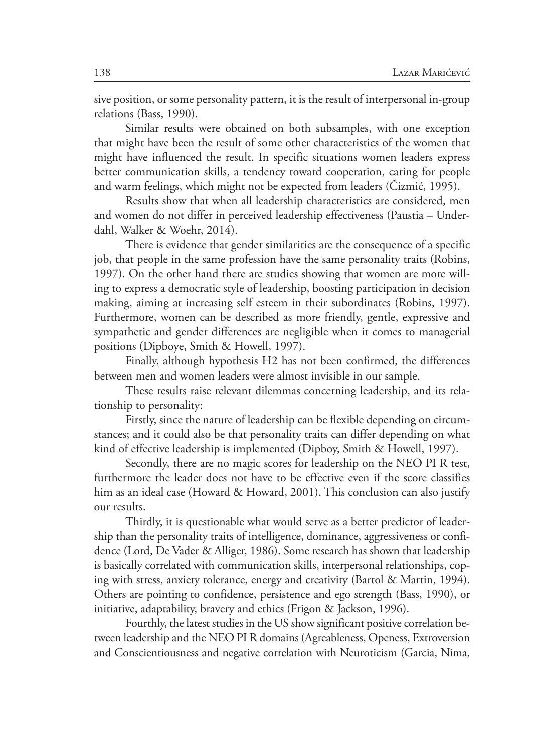sive position, or some personality pattern, it is the result of interpersonal in-group relations (Bass, 1990).

Similar results were obtained on both subsamples, with one exception that might have been the result of some other characteristics of the women that might have influenced the result. In specific situations women leaders express better communication skills, a tendency toward cooperation, caring for people and warm feelings, which might not be expected from leaders (Čizmić, 1995).

Results show that when all leadership characteristics are considered, men and women do not differ in perceived leadership effectiveness (Paustia – Underdahl, Walker & Woehr, 2014).

There is evidence that gender similarities are the consequence of a specific job, that people in the same profession have the same personality traits (Robins, 1997). On the other hand there are studies showing that women are more willing to express a democratic style of leadership, boosting participation in decision making, aiming at increasing self esteem in their subordinates (Robins, 1997). Furthermore, women can be described as more friendly, gentle, expressive and sympathetic and gender differences are negligible when it comes to managerial positions (Dipboye, Smith & Howell, 1997).

Finally, although hypothesis H2 has not been confirmed, the differences between men and women leaders were almost invisible in our sample.

These results raise relevant dilemmas concerning leadership, and its relationship to personality:

Firstly, since the nature of leadership can be flexible depending on circumstances; and it could also be that personality traits can differ depending on what kind of effective leadership is implemented (Dipboy, Smith & Howell, 1997).

Secondly, there are no magic scores for leadership on the NEO PI R test, furthermore the leader does not have to be effective even if the score classifies him as an ideal case (Howard & Howard, 2001). This conclusion can also justify our results.

Thirdly, it is questionable what would serve as a better predictor of leadership than the personality traits of intelligence, dominance, aggressiveness or confidence (Lord, De Vader & Alliger, 1986). Some research has shown that leadership is basically correlated with communication skills, interpersonal relationships, coping with stress, anxiety tolerance, energy and creativity (Bartol & Martin, 1994). Others are pointing to confidence, persistence and ego strength (Bass, 1990), or initiative, adaptability, bravery and ethics (Frigon & Jackson, 1996).

Fourthly, the latest studies in the US show significant positive correlation between leadership and the NEO PI R domains (Agreableness, Openess, Extroversion and Conscientiousness and negative correlation with Neuroticism (Garcia, Nima,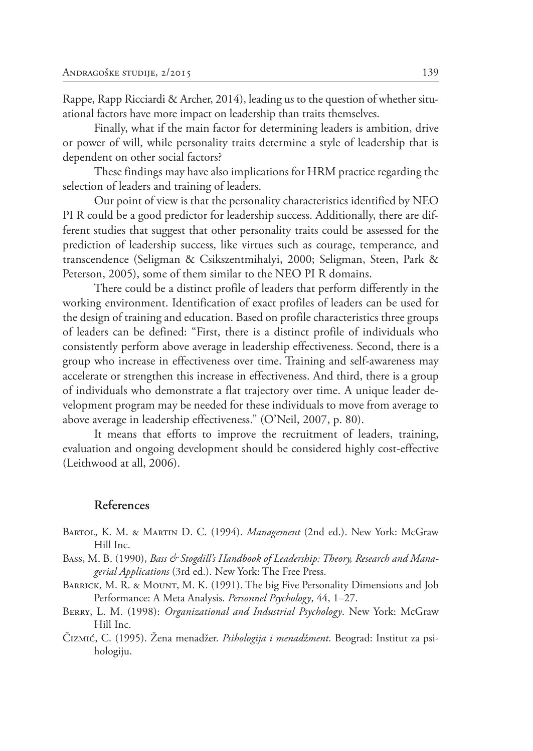Rappe, Rapp Ricciardi & Archer, 2014), leading us to the question of whether situational factors have more impact on leadership than traits themselves.

Finally, what if the main factor for determining leaders is ambition, drive or power of will, while personality traits determine a style of leadership that is dependent on other social factors?

These findings may have also implications for HRM practice regarding the selection of leaders and training of leaders.

Our point of view is that the personality characteristics identified by NEO PI R could be a good predictor for leadership success. Additionally, there are different studies that suggest that other personality traits could be assessed for the prediction of leadership success, like virtues such as courage, temperance, and transcendence (Seligman & Csikszentmihalyi, 2000; Seligman, Steen, Park & Peterson, 2005), some of them similar to the NEO PI R domains.

There could be a distinct profile of leaders that perform differently in the working environment. Identification of exact profiles of leaders can be used for the design of training and education. Based on profile characteristics three groups of leaders can be defined: "First, there is a distinct profile of individuals who consistently perform above average in leadership effectiveness. Second, there is a group who increase in effectiveness over time. Training and self‐awareness may accelerate or strengthen this increase in effectiveness. And third, there is a group of individuals who demonstrate a flat trajectory over time. A unique leader development program may be needed for these individuals to move from average to above average in leadership effectiveness." (O'Neil, 2007, p. 80).

It means that efforts to improve the recruitment of leaders, training, evaluation and ongoing development should be considered highly cost-effective (Leithwood at all, 2006).

### **References**

- Bartol, K. M. & Martin D. C. (1994). *Management* (2nd ed.). New York: McGraw Hill Inc.
- Bass, M. B. (1990), *Bass & Stogdill's Handbook of Leadership: Theory, Research and Managerial Applications* (3rd ed.). New York: The Free Press.
- BARRICK, M. R. & MOUNT, M. K. (1991). The big Five Personality Dimensions and Job Performance: A Meta Analysis. *Personnel Psychology*, 44, 1–27.
- Berry, L. M. (1998): *Organizational and Industrial Psychology*. New York: McGraw Hill Inc.
- Čizmić, C. (1995). Žena menadžer. *Psihologija i menadžment*. Beograd: Institut za psihologiju.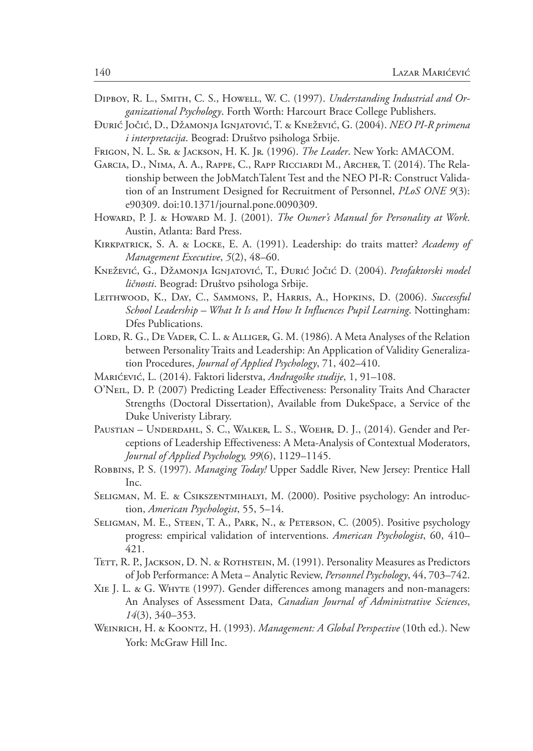- Dipboy, R. L., Smith, C. S., Howell, W. C. (1997). *Understanding Industrial and Organizational Psychology*. Forth Worth: Harcourt Brace College Publishers.
- Đurić Jočić, D., Džamonja Ignjatović, T. & Knežević, G. (2004). *NEO PI-R primena i interpretacija*. Beograd: Društvo psihologa Srbije.
- Frigon, N. L. Sr. & Jackson, H. K. Jr. (1996). *The Leader*. New York: AMACOM.
- Garcia, D., Nima, A. A., Rappe, C., Rapp Ricciardi M., Archer, T. (2014). The Relationship between the JobMatchTalent Test and the NEO PI-R: Construct Validation of an Instrument Designed for Recruitment of Personnel, *PLoS ONE 9*(3): e90309. doi:10.1371/journal.pone.0090309.
- Howard, P. J. & Howard M. J. (2001). *The Owner's Manual for Personality at Work*. Austin, Atlanta: Bard Press.
- Kirkpatrick, S. A. & Locke, E. A. (1991). Leadership: do traits matter? *Academy of Management Executive*, *5*(2), 48–60.
- Knežević, G., Džamonja Ignjatović, T., Đurić Jočić D. (2004). *Petofaktorski model ličnosti*. Beograd: Društvo psihologa Srbije.
- LEITHWOOD, K., DAY, C., SAMMONS, P., HARRIS, A., HOPKINS, D. (2006). *Successful School Leadership – What It Is and How It Influences Pupil Learning*. Nottingham: Dfes Publications.
- LORD, R. G., DE VADER, C. L. & ALLIGER, G. M. (1986). A Meta Analyses of the Relation between Personality Traits and Leadership: An Application of Validity Generalization Procedures, *Journal of Applied Psychology*, 71, 402–410.
- Marićević, L. (2014). Faktori liderstva, *Andragoške studije*, 1, 91–108.
- O'Neil, D. P. (2007) Predicting Leader Effectiveness: Personality Traits And Character Strengths (Doctoral Dissertation), Available from DukeSpace, a Service of the Duke Univeristy Library.
- PAUSTIAN UNDERDAHL, S. C., WALKER, L. S., WOEHR, D. J., (2014). Gender and Perceptions of Leadership Effectiveness: A Meta-Analysis of Contextual Moderators, *Journal of Applied Psychology, 99*(6), 1129–1145.
- Robbins, P. S. (1997). *Managing Today!* Upper Saddle River, New Jersey: Prentice Hall Inc.
- Seligman, M. E. & Csikszentmihalyi, M. (2000). Positive psychology: An introduction, *American Psychologist*, 55, 5–14.
- Seligman, M. E., Steen, T. A., Park, N., & Peterson, C. (2005). Positive psychology progress: empirical validation of interventions. *American Psychologist*, 60, 410– 421.
- TETT, R. P., JACKSON, D. N. & ROTHSTEIN, M. (1991). Personality Measures as Predictors of Job Performance: A Meta – Analytic Review, *Personnel Psychology*, 44, 703–742.
- Xie J. L. & G. Whyte (1997). Gender differences among managers and non-managers: An Analyses of Assessment Data, *Canadian Journal of Administrative Sciences*, *14*(3), 340–353.
- Weinrich, H. & Koontz, H. (1993). *Management: A Global Perspective* (10th ed.). New York: McGraw Hill Inc.